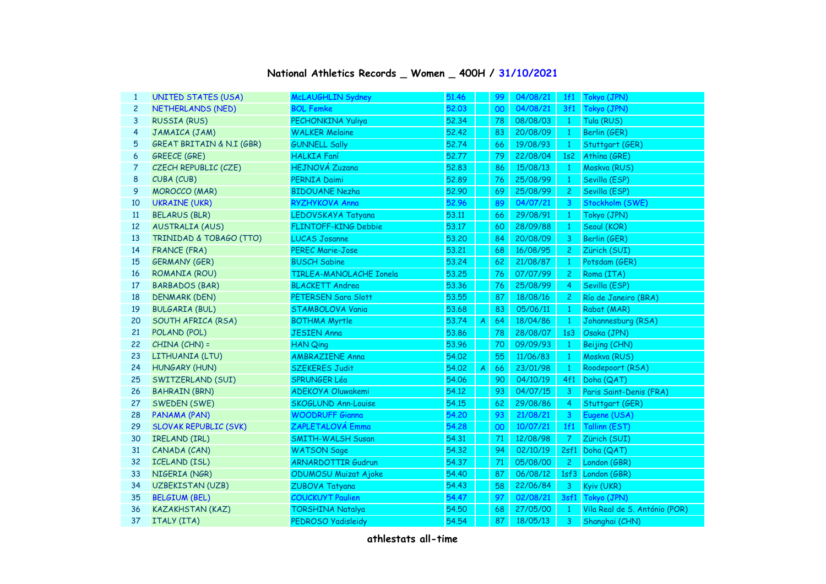## **National Athletics Records \_ Women \_ 400H / 31/10/2021**

| $\mathbf{1}$   | <b>UNITED STATES (USA)</b>           | <b>McLAUGHLIN Sydney</b>    | 51.46 |                | 99 | 04/08/21 | 1f1             | Tokyo (JPN)                   |
|----------------|--------------------------------------|-----------------------------|-------|----------------|----|----------|-----------------|-------------------------------|
| $\overline{c}$ | NETHERLANDS (NED)                    | <b>BOL Femke</b>            | 52.03 |                | 00 | 04/08/21 | 3f1             | Tokyo (JPN)                   |
| 3              | <b>RUSSIA (RUS)</b>                  | PECHONKINA Yuliya           | 52,34 |                | 78 | 08/08/03 | $\mathbf{1}$    | Tula (RUS)                    |
| 4              | JAMAICA (JAM)                        | <b>WALKER Melaine</b>       | 52.42 |                | 83 | 20/08/09 | $\mathbf{1}$    | Berlin (GER)                  |
| 5              | <b>GREAT BRITAIN &amp; N.I (GBR)</b> | <b>GUNNELL Sally</b>        | 52.74 |                | 66 | 19/08/93 | $\mathbf{1}$    | Stuttgart (GER)               |
| 6              | <b>GREECE (GRE)</b>                  | <b>HALKIA Faní</b>          | 52.77 |                | 79 | 22/08/04 | 1s <sub>2</sub> | Athína (GRE)                  |
| $\overline{7}$ | CZECH REPUBLIC (CZE)                 | <b>HEJNOVÁ Zuzana</b>       | 52.83 |                | 86 | 15/08/13 | $\mathbf{1}$    | Moskva (RUS)                  |
| 8              | CUBA (CUB)                           | <b>PERNIA Daimi</b>         | 52.89 |                | 76 | 25/08/99 | $\mathbf{1}$    | Sevilla (ESP)                 |
| 9              | <b>MOROCCO (MAR)</b>                 | <b>BIDOUANE Nezha</b>       | 52.90 |                | 69 | 25/08/99 | $\overline{c}$  | Sevilla (ESP)                 |
| 10             | <b>UKRAINE (UKR)</b>                 | RYZHYKOVA Anna              | 52.96 |                | 89 | 04/07/21 | 3               | Stockholm (SWE)               |
| 11             | <b>BELARUS (BLR)</b>                 | LEDOVSKAYA Tatyana          | 53,11 |                | 66 | 29/08/91 | $\mathbf{1}$    | Tokyo (JPN)                   |
| 12             | <b>AUSTRALIA (AUS)</b>               | FLINTOFF-KING Debbie        | 53.17 |                | 60 | 28/09/88 | $\mathbf{1}$    | Seoul (KOR)                   |
| 13             | TRINIDAD & TOBAGO (TTO)              | <b>LUCAS Josanne</b>        | 53,20 |                | 84 | 20/08/09 | 3               | Berlin (GER)                  |
| 14             | <b>FRANCE (FRA)</b>                  | <b>PEREC Marie-Jose</b>     | 53.21 |                | 68 | 16/08/95 | $\overline{c}$  | Zürich (SUI)                  |
| 15             | <b>GERMANY (GER)</b>                 | <b>BUSCH Sabine</b>         | 53.24 |                | 62 | 21/08/87 | $\mathbf{1}$    | Potsdam (GER)                 |
| 16             | ROMANIA (ROU)                        | TIRLEA-MANOLACHE Ionela     | 53.25 |                | 76 | 07/07/99 | $\overline{c}$  | Roma (ITA)                    |
| 17             | <b>BARBADOS (BAR)</b>                | <b>BLACKETT Andrea</b>      | 53.36 |                | 76 | 25/08/99 | 4               | Sevilla (ESP)                 |
| 18             | <b>DENMARK (DEN)</b>                 | PETERSEN Sara Slott         | 53.55 |                | 87 | 18/08/16 | $\overline{c}$  | Río de Janeiro (BRA)          |
| 19             | <b>BULGARIA (BUL)</b>                | <b>STAMBOLOVA Vania</b>     | 53.68 |                | 83 | 05/06/11 | $\mathbf{1}$    | Rabat (MAR)                   |
| 20             | SOUTH AFRICA (RSA)                   | <b>BOTHMA Myrtle</b>        | 53.74 | $\overline{A}$ | 64 | 18/04/86 | $\mathbf{1}$    | Johannesburg (RSA)            |
| 21             | POLAND (POL)                         | <b>JESIEN Anna</b>          | 53.86 |                | 78 | 28/08/07 | 1s3             | Osaka (JPN)                   |
| 22             | CHINA (CHN) =                        | <b>HAN Qing</b>             | 53.96 |                | 70 | 09/09/93 | $\mathbf{1}$    | Beijing (CHN)                 |
| 23             | LITHUANIA (LTU)                      | <b>AMBRAZIENE Anna</b>      | 54.02 |                | 55 | 11/06/83 | $\mathbf{1}$    | Moskva (RUS)                  |
| 24             | <b>HUNGARY (HUN)</b>                 | <b>SZEKERES Judit</b>       | 54.02 | $\overline{A}$ | 66 | 23/01/98 | $\mathbf{1}$    | Roodepoort (RSA)              |
| 25             | SWITZERLAND (SUI)                    | <b>SPRUNGER Léa</b>         | 54.06 |                | 90 | 04/10/19 | 4f1             | Doha (QAT)                    |
| 26             | <b>BAHRAIN (BRN)</b>                 | ADEKOYA Oluwakemi           | 54.12 |                | 93 | 04/07/15 | 3               | Paris Saint-Denis (FRA)       |
| 27             | SWEDEN (SWE)                         | <b>SKOGLUND Ann-Louise</b>  | 54.15 |                | 62 | 29/08/86 | 4               | Stuttgart (GER)               |
| 28             | PANAMA (PAN)                         | <b>WOODRUFF Gianna</b>      | 54.20 |                | 93 | 21/08/21 | $\mathbf{3}$    | Eugene (USA)                  |
| 29             | <b>SLOVAK REPUBLIC (SVK)</b>         | ZAPLETALOVÁ Emma            | 54.28 |                | 00 | 10/07/21 | 1f1             | Tallinn (EST)                 |
| 30             | IRELAND (IRL)                        | <b>SMITH-WALSH Susan</b>    | 54.31 |                | 71 | 12/08/98 | -7              | Zürich (SUI)                  |
| 31             | CANADA (CAN)                         | <b>WATSON Sage</b>          | 54.32 |                | 94 | 02/10/19 |                 | 2sf1 Doha (QAT)               |
| 32             | <b>ICELAND (ISL)</b>                 | <b>ARNARDOTTIR Gudrun</b>   | 54.37 |                | 71 | 05/08/00 | $\mathbf{2}$    | London (GBR)                  |
| 33             | NIGERIA (NGR)                        | <b>ODUMOSU Muizat Ajoke</b> | 54.40 |                | 87 | 06/08/12 |                 | 1sf3 London (GBR)             |
| 34             | UZBEKISTAN (UZB)                     | ZUBOVA Tatyana              | 54.43 |                | 58 | 22/06/84 | 3               | Kyiv (UKR)                    |
| 35             | <b>BELGIUM (BEL)</b>                 | <b>COUCKUYT Paulien</b>     | 54.47 |                | 97 | 02/08/21 |                 | 3sf1 Tokyo (JPN)              |
| 36             | <b>KAZAKHSTAN (KAZ)</b>              | <b>TORSHINA Natalya</b>     | 54.50 |                | 68 | 27/05/00 | $\mathbf{1}$    | Vila Real de S. António (POR) |
| 37             | ITALY (ITA)                          | PEDROSO Yadisleidy          | 54.54 |                | 87 | 18/05/13 | 3               | Shanghai (CHN)                |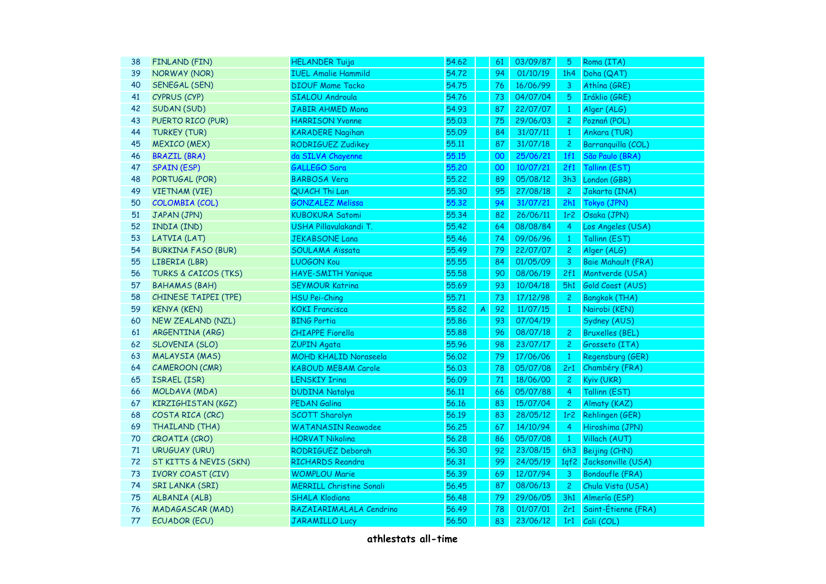| 38 | FINLAND (FIN)                   | <b>HELANDER Tuija</b>           | 54.62 |                  | 61 | 03/09/87 | 5               | Roma (ITA)                |
|----|---------------------------------|---------------------------------|-------|------------------|----|----------|-----------------|---------------------------|
| 39 | NORWAY (NOR)                    | <b>IUEL Amalie Hammild</b>      | 54.72 |                  | 94 | 01/10/19 | 1h4             | Doha (QAT)                |
| 40 | SENEGAL (SEN)                   | <b>DIOUF Mame Tacko</b>         | 54.75 |                  | 76 | 16/06/99 | 3               | Athína (GRE)              |
| 41 | CYPRUS (CYP)                    | <b>SIALOU Androula</b>          | 54.76 |                  | 73 | 04/07/04 | 5               | Iráklio (GRE)             |
| 42 | <b>SUDAN (SUD)</b>              | <b>JABIR AHMED Mona</b>         | 54.93 |                  | 87 | 22/07/07 | $\mathbf{1}$    | Alger (ALG)               |
| 43 | PUERTO RICO (PUR)               | <b>HARRISON Yvonne</b>          | 55,03 |                  | 75 | 29/06/03 | $\mathbf{2}$    | Poznań (POL)              |
| 44 | <b>TURKEY (TUR)</b>             | <b>KARADERE Nagihan</b>         | 55.09 |                  | 84 | 31/07/11 | $\mathbf{1}$    | Ankara (TUR)              |
| 45 | <b>MEXICO (MEX)</b>             | <b>RODRIGUEZ Zudikey</b>        | 55.11 |                  | 87 | 31/07/18 | $\mathbf{2}$    | Barranquilla (COL)        |
| 46 | <b>BRAZIL (BRA)</b>             | da SILVA Chayenne               | 55.15 |                  | 00 | 25/06/21 | 1f1             | São Paulo (BRA)           |
| 47 | <b>SPAIN (ESP)</b>              | <b>GALLEGO Sara</b>             | 55.20 |                  | 00 | 10/07/21 | 2f1             | Tallinn (EST)             |
| 48 | PORTUGAL (POR)                  | <b>BARBOSA Vera</b>             | 55.22 |                  | 89 | 05/08/12 |                 | 3h3 London (GBR)          |
| 49 | <b>VIETNAM (VIE)</b>            | QUACH Thi Lan                   | 55.30 |                  | 95 | 27/08/18 | $\overline{2}$  | Jakarta (INA)             |
| 50 | COLOMBIA (COL)                  | <b>GONZALEZ Melissa</b>         | 55.32 |                  | 94 | 31/07/21 | 2h1             | Tokyo (JPN)               |
| 51 | JAPAN (JPN)                     | <b>KUBOKURA Satomi</b>          | 55.34 |                  | 82 | 26/06/11 | 1r <sub>2</sub> | Osaka (JPN)               |
| 52 | INDIA (IND)                     | USHA Pillavulakandi T.          | 55.42 |                  | 64 | 08/08/84 | 4               | Los Angeles (USA)         |
| 53 | LATVIA (LAT)                    | <b>JEKABSONE Lana</b>           | 55.46 |                  | 74 | 09/06/96 | $\mathbf{1}$    | Tallinn (EST)             |
| 54 | <b>BURKINA FASO (BUR)</b>       | SOULAMA Aïssata                 | 55.49 |                  | 79 | 22/07/07 | $\overline{c}$  | Alger (ALG)               |
| 55 | LIBERIA (LBR)                   | <b>LUOGON Kou</b>               | 55.55 |                  | 84 | 01/05/09 | 3               | <b>Baie Mahault (FRA)</b> |
| 56 | <b>TURKS &amp; CAICOS (TKS)</b> | <b>HAYE-SMITH Yanique</b>       | 55.58 |                  | 90 | 08/06/19 | 2f1             | Montverde (USA)           |
| 57 | <b>BAHAMAS (BAH)</b>            | <b>SEYMOUR Katrina</b>          | 55.69 |                  | 93 | 10/04/18 | 5h1             | Gold Coast (AUS)          |
| 58 | <b>CHINESE TAIPEI (TPE)</b>     | <b>HSU Pei-Ching</b>            | 55.71 |                  | 73 | 17/12/98 | $\mathbf{2}$    | <b>Bangkok (THA)</b>      |
| 59 | <b>KENYA (KEN)</b>              | <b>KOKI Francisca</b>           | 55.82 | $\boldsymbol{A}$ | 92 | 11/07/15 | $\mathbf{1}$    | Nairobi (KEN)             |
| 60 | <b>NEW ZEALAND (NZL)</b>        | <b>BING Portia</b>              | 55.86 |                  | 93 | 07/04/19 |                 | Sydney (AUS)              |
| 61 | ARGENTINA (ARG)                 | <b>CHIAPPE Fiorella</b>         | 55.88 |                  | 96 | 08/07/18 | $\mathbf{2}$    | <b>Bruxelles (BEL)</b>    |
| 62 | SLOVENIA (SLO)                  | <b>ZUPIN Agata</b>              | 55.96 |                  | 98 | 23/07/17 | $\mathbf{2}$    | Grosseto (ITA)            |
| 63 | <b>MALAYSIA (MAS)</b>           | <b>MOHD KHALID Noraseela</b>    | 56.02 |                  | 79 | 17/06/06 | $\mathbf{1}$    | Regensburg (GER)          |
| 64 | <b>CAMEROON (CMR)</b>           | <b>KABOUD MEBAM Carole</b>      | 56.03 |                  | 78 | 05/07/08 | 2r1             | Chambéry (FRA)            |
| 65 | <b>ISRAEL (ISR)</b>             | <b>LENSKIY Irina</b>            | 56.09 |                  | 71 | 18/06/00 | $\mathbf{2}$    | Kyiv (UKR)                |
| 66 | MOLDAVA (MDA)                   | <b>DUDINA Natalya</b>           | 56.11 |                  | 66 | 05/07/88 | 4               | Tallinn (EST)             |
| 67 | KIRZIGHISTAN (KGZ)              | PEDAN Galina                    | 56.16 |                  | 83 | 15/07/04 | $\mathbf{2}$    | Almaty (KAZ)              |
| 68 | COSTA RICA (CRC)                | <b>SCOTT Sharolyn</b>           | 56.19 |                  | 83 | 28/05/12 | 1r <sub>2</sub> | Rehlingen (GER)           |
| 69 | THAILAND (THA)                  | <b>WATANASIN Reawadee</b>       | 56.25 |                  | 67 | 14/10/94 | 4               | Hiroshima (JPN)           |
| 70 | CROATIA (CRO)                   | <b>HORVAT Nikolina</b>          | 56,28 |                  | 86 | 05/07/08 | $\mathbf{1}$    | Villach (AUT)             |
| 71 | <b>URUGUAY (URU)</b>            | RODRIGUEZ Deborah               | 56.30 |                  | 92 | 23/08/15 |                 | 6h3 Beijing (CHN)         |
| 72 | ST KITTS & NEVIS (SKN)          | <b>RICHARDS Reandra</b>         | 56.31 |                  | 99 | 24/05/19 |                 | 1qf2 Jacksonville (USA)   |
| 73 | <b>IVORY COAST (CIV)</b>        | <b>WOMPLOU Marie</b>            | 56.39 |                  | 69 | 12/07/94 | 3               | <b>Bondoufle (FRA)</b>    |
| 74 | <b>SRI LANKA (SRI)</b>          | <b>MERRILL Christine Sonali</b> | 56.45 |                  | 87 | 08/06/13 | $\mathbf{2}$    | Chula Vista (USA)         |
| 75 | ALBANIA (ALB)                   | <b>SHALA Klodiana</b>           | 56.48 |                  | 79 | 29/06/05 | 3h1             | Almería (ESP)             |
| 76 | <b>MADAGASCAR (MAD)</b>         | RAZAIARIMALALA Cendrino         | 56.49 |                  | 78 | 01/07/01 | 2r1             | Saint-Étienne (FRA)       |
| 77 | <b>ECUADOR (ECU)</b>            | <b>JARAMILLO Lucy</b>           | 56.50 |                  | 83 | 23/06/12 | 1r1             | Cali (COL)                |